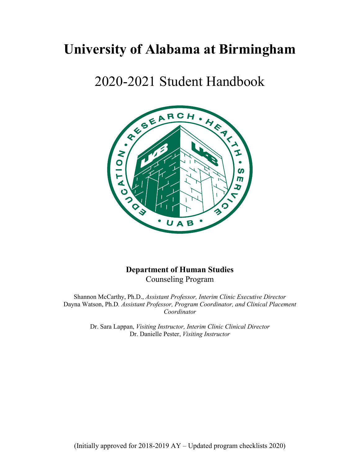# **University of Alabama at Birmingham**

# 2020-2021 Student Handbook



# **Department of Human Studies** Counseling Program

Shannon McCarthy, Ph.D., *Assistant Professor, Interim Clinic Executive Director* Dayna Watson, Ph.D*. Assistant Professor, Program Coordinator, and Clinical Placement Coordinator*

> Dr. Sara Lappan, *Visiting Instructor, Interim Clinic Clinical Director* Dr. Danielle Pester, *Visiting Instructor*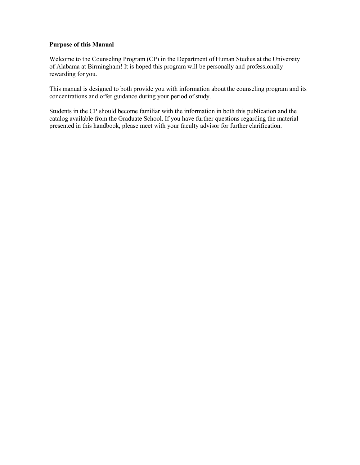#### **Purpose of this Manual**

Welcome to the Counseling Program (CP) in the Department of Human Studies at the University of Alabama at Birmingham! It is hoped this program will be personally and professionally rewarding for you.

This manual is designed to both provide you with information about the counseling program and its concentrations and offer guidance during your period of study.

Students in the CP should become familiar with the information in both this publication and the catalog available from the Graduate School. If you have further questions regarding the material presented in this handbook, please meet with your faculty advisor for further clarification.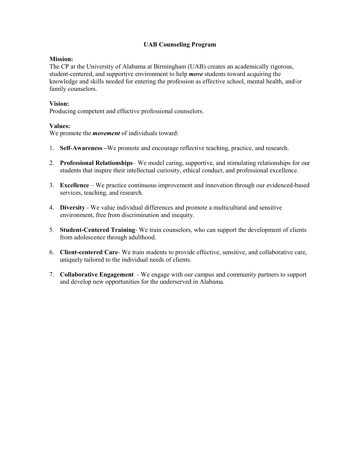#### **UAB Counseling Program**

#### **Mission:**

The CP at the University of Alabama at Birmingham (UAB) creates an academically rigorous, student-centered, and supportive environment to help *move* students toward acquiring the knowledge and skills needed for entering the profession as effective school, mental health, and/or family counselors.

#### **Vision:**

Producing competent and effective professional counselors.

#### **Values:**

We promote the *movement* of individuals toward:

- 1. **Self-Awareness –**We promote and encourage reflective teaching, practice, and research.
- 2. **Professional Relationships** We model caring, supportive, and stimulating relationships for our students that inspire their intellectual curiosity, ethical conduct, and professional excellence.
- 3. **Excellence** We practice continuous improvement and innovation through our evidenced-based services, teaching, and research.
- 4. **Diversity** We value individual differences and promote a multicultural and sensitive environment, free from discrimination and inequity.
- 5. **Student-Centered Training** We train counselors, who can support the development of clients from adolescence through adulthood.
- 6. **Client-centered Care** We train students to provide effective, sensitive, and collaborative care, uniquely tailored to the individual needs of clients.
- 7. **Collaborative Engagement** We engage with our campus and community partners to support and develop new opportunities for the underserved in Alabama.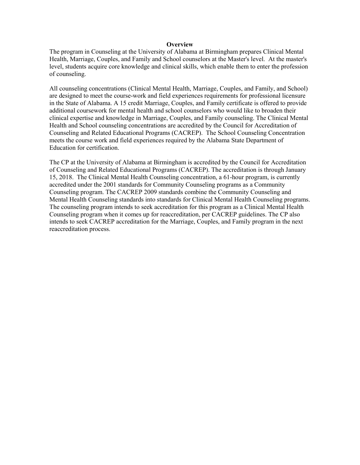#### **Overview**

The program in Counseling at the University of Alabama at Birmingham prepares Clinical Mental Health, Marriage, Couples, and Family and School counselors at the Master's level. At the master's level, students acquire core knowledge and clinical skills, which enable them to enter the profession of counseling.

All counseling concentrations (Clinical Mental Health, Marriage, Couples, and Family, and School) are designed to meet the course-work and field experiences requirements for professional licensure in the State of Alabama. A 15 credit Marriage, Couples, and Family certificate is offered to provide additional coursework for mental health and school counselors who would like to broaden their clinical expertise and knowledge in Marriage, Couples, and Family counseling. The Clinical Mental Health and School counseling concentrations are accredited by the Council for Accreditation of Counseling and Related Educational Programs (CACREP). The School Counseling Concentration meets the course work and field experiences required by the Alabama State Department of Education for certification.

The CP at the University of Alabama at Birmingham is accredited by the Council for Accreditation of Counseling and Related Educational Programs (CACREP). The accreditation is through January 15, 2018. The Clinical Mental Health Counseling concentration, a 61-hour program, is currently accredited under the 2001 standards for Community Counseling programs as a Community Counseling program. The CACREP 2009 standards combine the Community Counseling and Mental Health Counseling standards into standards for Clinical Mental Health Counseling programs. The counseling program intends to seek accreditation for this program as a Clinical Mental Health Counseling program when it comes up for reaccreditation, per CACREP guidelines. The CP also intends to seek CACREP accreditation for the Marriage, Couples, and Family program in the next reaccreditation process.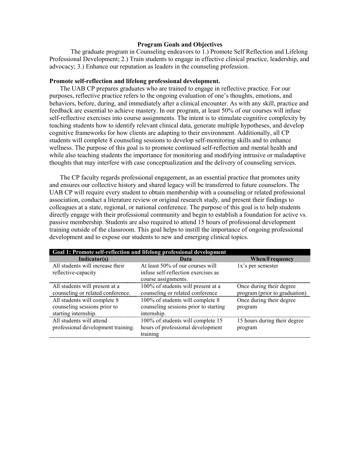#### **Program Goals and Objectives**

The graduate program in Counseling endeavors to 1.) Promote Self Reflection and Lifelong Professional Development; 2.) Train students to engage in effective clinical practice, leadership, and advocacy; 3.) Enhance our reputation as leaders in the counseling profession.

#### **Promote self-reflection and lifelong professional development.**

The UAB CP prepares graduates who are trained to engage in reflective practice. For our purposes, reflective practice refers to the ongoing evaluation of one's thoughts, emotions, and behaviors, before, during, and immediately after a clinical encounter. As with any skill, practice and feedback are essential to achieve mastery. In our program, at least 50% of our courses will infuse self-reflective exercises into course assignments. The intent is to stimulate cognitive complexity by teaching students how to identify relevant clinical data, generate multiple hypotheses, and develop cognitive frameworks for how clients are adapting to their environment. Additionally, all CP students will complete 8 counseling sessions to develop self-monitoring skills and to enhance wellness. The purpose of this goal is to promote continued self-reflection and mental health and while also teaching students the importance for monitoring and modifying intrusive or maladaptive thoughts that may interfere with case conceptualization and the delivery of counseling services.

The CP faculty regards professional engagement, as an essential practice that promotes unity and ensures our collective history and shared legacy will be transferred to future counselors. The UAB CP will require every student to obtain membership with a counseling or related professional association, conduct a literature review or original research study, and present their findings to colleagues at a state, regional, or national conference. The purpose of this goal is to help students directly engage with their professional community and begin to establish a foundation for active vs. passive membership. Students are also required to attend 15 hours of professional development training outside of the classroom. This goal helps to instill the importance of ongoing professional development and to expose our students to new and emerging clinical topics.

| Goal 1: Promote self-reflection and lifelong professional development |                                       |                               |  |
|-----------------------------------------------------------------------|---------------------------------------|-------------------------------|--|
| Indicator(s)                                                          | Data                                  | <b>When/Frequency</b>         |  |
| All students will increase their                                      | At least 50% of our courses will      | 1x's per semester             |  |
| reflective-capacity                                                   | infuse self-reflection exercises as   |                               |  |
|                                                                       | course assignments.                   |                               |  |
| All students will present at a                                        | 100% of students will present at a    | Once during their degree      |  |
| counseling or related conference.                                     | counseling or related conference      | program (prior to graduation) |  |
| All students will complete 8                                          | 100% of students will complete 8      | Once during their degree      |  |
| counseling sessions prior to                                          | counseling sessions prior to starting | program                       |  |
| starting internship.                                                  | internship.                           |                               |  |
| All students will attend                                              | 100% of students will complete 15     | 15 hours during their degree  |  |
| professional development training.                                    | hours of professional development     | program                       |  |
|                                                                       | training                              |                               |  |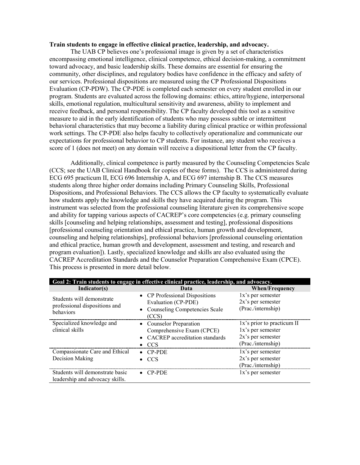#### **Train students to engage in effective clinical practice, leadership, and advocacy.**

The UAB CP believes one's professional image is given by a set of characteristics encompassing emotional intelligence, clinical competence, ethical decision-making, a commitment toward advocacy, and basic leadership skills. These domains are essential for ensuring the community, other disciplines, and regulatory bodies have confidence in the efficacy and safety of our services. Professional dispositions are measured using the CP Professional Dispositions Evaluation (CP-PDW). The CP-PDE is completed each semester on every student enrolled in our program. Students are evaluated across the following domains: ethics, attire/hygiene, interpersonal skills, emotional regulation, multicultural sensitivity and awareness, ability to implement and receive feedback, and personal responsibility. The CP faculty developed this tool as a sensitive measure to aid in the early identification of students who may possess subtle or intermittent behavioral characteristics that may become a liability during clinical practice or within professional work settings. The CP-PDE also helps faculty to collectively operationalize and communicate our expectations for professional behavior to CP students. For instance, any student who receives a score of 1 (does not meet) on any domain will receive a dispositional letter from the CP faculty.

Additionally, clinical competence is partly measured by the Counseling Competencies Scale (CCS; see the UAB Clinical Handbook for copies of these forms). The CCS is administered during ECG 695 practicum II, ECG 696 Internship A, and ECG 697 internship B. The CCS measures students along three higher order domains including Primary Counseling Skills, Professional Dispositions, and Professional Behaviors. The CCS allows the CP faculty to systematically evaluate how students apply the knowledge and skills they have acquired during the program. This instrument was selected from the professional counseling literature given its comprehensive scope and ability for tapping various aspects of CACREP's core competencies (e.g. primary counseling skills [counseling and helping relationships, assessment and testing], professional dispositions [professional counseling orientation and ethical practice, human growth and development, counseling and helping relationships], professional behaviors [professional counseling orientation and ethical practice, human growth and development, assessment and testing, and research and program evaluation]). Lastly, specialized knowledge and skills are also evaluated using the CACREP Accreditation Standards and the Counselor Preparation Comprehensive Exam (CPCE). This process is presented in more detail below.

| Goal 2: Train students to engage in effective clinical practice, leadership, and advocacy. |                                                                                                   |                                                                                               |  |
|--------------------------------------------------------------------------------------------|---------------------------------------------------------------------------------------------------|-----------------------------------------------------------------------------------------------|--|
| Indicator(s)                                                                               | Data                                                                                              | <b>When/Frequency</b>                                                                         |  |
| Students will demonstrate<br>professional dispositions and<br>behaviors                    | • CP Professional Dispositions<br>Evaluation (CP-PDE)<br>• Counseling Competencies Scale<br>(CCS) | 1x's per semester<br>$2x$ 's per semester<br>(Prac./internship)                               |  |
| Specialized knowledge and<br>clinical skills                                               | • Counselor Preparation<br>Comprehensive Exam (CPCE)<br>• CACREP accreditation standards<br>- CCS | 1x's prior to practicum II<br>1x's per semester<br>$2x$ 's per semester<br>(Prac./internship) |  |
| Compassionate Care and Ethical<br>Decision Making                                          | $\bullet$ CP-PDE<br>$\bullet$ CCS                                                                 | 1x's per semester<br>$2x$ 's per semester<br>(Prac./internship)                               |  |
| Students will demonstrate basic<br>leadership and advocacy skills.                         | $\bullet$ CP-PDE                                                                                  | 1x's per semester                                                                             |  |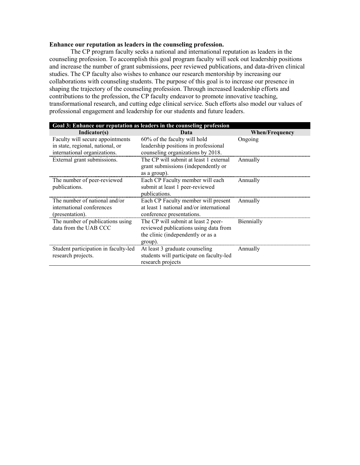#### **Enhance our reputation as leaders in the counseling profession.**

The CP program faculty seeks a national and international reputation as leaders in the counseling profession. To accomplish this goal program faculty will seek out leadership positions and increase the number of grant submissions, peer reviewed publications, and data-driven clinical studies. The CP faculty also wishes to enhance our research mentorship by increasing our collaborations with counseling students. The purpose of this goal is to increase our presence in shaping the trajectory of the counseling profession. Through increased leadership efforts and contributions to the profession, the CP faculty endeavor to promote innovative teaching, transformational research, and cutting edge clinical service. Such efforts also model our values of professional engagement and leadership for our students and future leaders.

| Goal 3: Enhance our reputation as leaders in the counseling profession |                                          |                       |  |
|------------------------------------------------------------------------|------------------------------------------|-----------------------|--|
| Indicator(s)                                                           | Data                                     | <b>When/Frequency</b> |  |
| Faculty will secure appointments                                       | 60% of the faculty will hold             | Ongoing               |  |
| in state, regional, national, or                                       | leadership positions in professional     |                       |  |
| international organizations.                                           | counseling organizations by 2018.        |                       |  |
| External grant submissions.                                            | The CP will submit at least 1 external   | Annually              |  |
|                                                                        | grant submissions (independently or      |                       |  |
|                                                                        | as a group).                             |                       |  |
| The number of peer-reviewed                                            | Each CP Faculty member will each         | Annually              |  |
| publications.                                                          | submit at least 1 peer-reviewed          |                       |  |
|                                                                        | publications.                            |                       |  |
| The number of national and/or                                          | Each CP Faculty member will present      | Annually              |  |
| international conferences                                              | at least 1 national and/or international |                       |  |
| (presentation).                                                        | conference presentations.                |                       |  |
| The number of publications using                                       | The CP will submit at least 2 peer-      | Biennially            |  |
| data from the UAB CCC                                                  | reviewed publications using data from    |                       |  |
|                                                                        | the clinic (independently or as a        |                       |  |
|                                                                        | group).                                  |                       |  |
| Student participation in faculty-led                                   | At least 3 graduate counseling           | Annually              |  |
| research projects.                                                     | students will participate on faculty-led |                       |  |
|                                                                        | research projects                        |                       |  |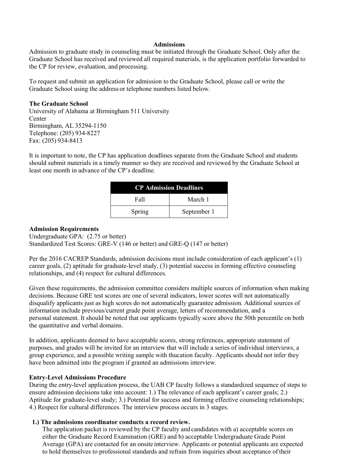#### **Admissions**

Admission to graduate study in counseling must be initiated through the Graduate School. Only after the Graduate School has received and reviewed all required materials, is the application portfolio forwarded to the CP for review, evaluation, and processing.

To request and submit an application for admission to the Graduate School, please call or write the Graduate School using the address or telephone numbers listed below.

#### **The Graduate School**

University of Alabama at Birmingham 511 University **Center** Birmingham, AL 35294-1150 Telephone: (205) 934-8227 Fax: (205) 934-8413

It is important to note, the CP has application deadlines separate from the Graduate School and students should submit materials in a timely manner so they are received and reviewed by the Graduate School at least one month in advance of the CP's deadline.

| <b>CP Admission Deadlines</b> |             |
|-------------------------------|-------------|
| Fall                          | March 1     |
| Spring                        | September 1 |

#### **Admission Requirements**

Undergraduate GPA: (2.75 or better) Standardized Test Scores: GRE-V (146 or better) and GRE-Q (147 or better)

Per the 2016 CACREP Standards, admission decisions must include consideration of each applicant's (1) career goals, (2) aptitude for graduate-level study, (3) potential success in forming effective counseling relationships, and (4) respect for cultural differences.

Given these requirements, the admission committee considers multiple sources of information when making decisions. Because GRE test scores are one of several indicators, lower scores will not automatically disqualify applicants just as high scores do not automatically guarantee admission. Additional sources of information include previous/current grade point average, letters of recommendation, and a personal statement. It should be noted that our applicants typically score above the 50th percentile on both the quantitative and verbal domains.

In addition, applicants deemed to have acceptable scores, strong references, appropriate statement of purposes, and grades will be invited for an interview that will include a series of individual interviews, a group experience, and a possible writing sample with thucation faculty. Applicants should not infer they have been admitted into the program if granted an admissions interview.

#### **Entry-Level Admissions Procedure**

During the entry-level application process, the UAB CP faculty follows a standardized sequence of steps to ensure admission decisions take into account: 1.) The relevance of each applicant's career goals; 2.) Aptitude for graduate-level study; 3.) Potential for success and forming effective counseling relationships; 4.) Respect for cultural differences. The interview process occurs in 3 stages.

#### **1.) The admissions coordinator conducts a record review.**

The application packet is reviewed by the CP faculty and candidates with a) acceptable scores on either the Graduate Record Examination (GRE) and b) acceptable Undergraduate Grade Point Average (GPA) are contacted for an onsite interview. Applicants or potential applicants are expected to hold themselves to professional standards and refrain from inquiries about acceptance of their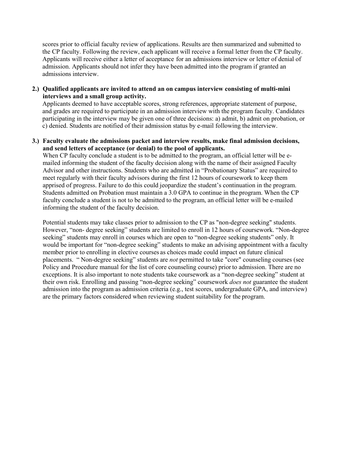scores prior to official faculty review of applications. Results are then summarized and submitted to the CP faculty. Following the review, each applicant will receive a formal letter from the CP faculty. Applicants will receive either a letter of acceptance for an admissions interview or letter of denial of admission. Applicants should not infer they have been admitted into the program if granted an admissions interview.

**2.) Qualified applicants are invited to attend an on campus interview consisting of multi-mini interviews and a small group activity.**

Applicants deemed to have acceptable scores, strong references, appropriate statement of purpose, and grades are required to participate in an admission interview with the program faculty. Candidates participating in the interview may be given one of three decisions: a) admit, b) admit on probation, or c) denied. Students are notified of their admission status by e-mail following the interview.

**3.) Faculty evaluate the admissions packet and interview results, make final admission decisions, and send letters of acceptance (or denial) to the pool of applicants.**

When CP faculty conclude a student is to be admitted to the program, an official letter will be emailed informing the student of the faculty decision along with the name of their assigned Faculty Advisor and other instructions. Students who are admitted in "Probationary Status" are required to meet regularly with their faculty advisors during the first 12 hours of coursework to keep them apprised of progress. Failure to do this could jeopardize the student's continuation in the program. Students admitted on Probation must maintain a 3.0 GPA to continue in the program. When the CP faculty conclude a student is not to be admitted to the program, an official letter will be e-mailed informing the student of the faculty decision.

Potential students may take classes prior to admission to the CP as "non-degree seeking" students. However, "non- degree seeking" students are limited to enroll in 12 hours of coursework. "Non-degree seeking" students may enroll in courses which are open to "non-degree seeking students" only. It would be important for "non-degree seeking" students to make an advising appointment with a faculty member prior to enrolling in elective courses as choices made could impact on future clinical placements. " Non-degree seeking" students are *not* permitted to take "core" counseling courses (see Policy and Procedure manual for the list of core counseling course) prior to admission. There are no exceptions. It is also important to note students take coursework as a "non-degree seeking" student at their own risk. Enrolling and passing "non-degree seeking" coursework *does not* guarantee the student admission into the program as admission criteria (e.g., test scores, undergraduate GPA, and interview) are the primary factors considered when reviewing student suitability for the program.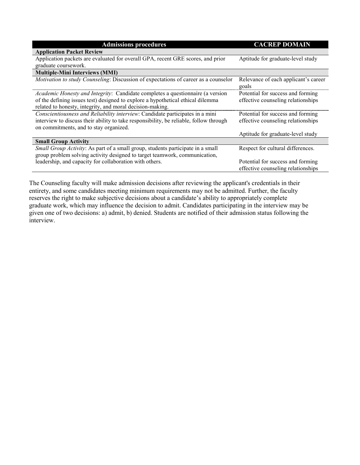| <b>Admissions procedures</b>                                                               | <b>CACREP DOMAIN</b>                          |
|--------------------------------------------------------------------------------------------|-----------------------------------------------|
| <b>Application Packet Review</b>                                                           |                                               |
| Application packets are evaluated for overall GPA, recent GRE scores, and prior            | Aptitude for graduate-level study             |
| graduate coursework.                                                                       |                                               |
| <b>Multiple-Mini Interviews (MMI)</b>                                                      |                                               |
| <i>Motivation to study Counseling: Discussion of expectations of career as a counselor</i> | Relevance of each applicant's career<br>goals |
| <i>Academic Honesty and Integrity:</i> Candidate completes a questionnaire (a version      | Potential for success and forming             |
| of the defining issues test) designed to explore a hypothetical ethical dilemma            | effective counseling relationships            |
| related to honesty, integrity, and moral decision-making.                                  |                                               |
| Conscientiousness and Reliability interview: Candidate participates in a mini              | Potential for success and forming             |
| interview to discuss their ability to take responsibility, be reliable, follow through     | effective counseling relationships            |
| on commitments, and to stay organized.                                                     |                                               |
|                                                                                            | Aptitude for graduate-level study             |
| <b>Small Group Activity</b>                                                                |                                               |
| Small Group Activity: As part of a small group, students participate in a small            | Respect for cultural differences.             |
| group problem solving activity designed to target teamwork, communication,                 |                                               |
| leadership, and capacity for collaboration with others.                                    | Potential for success and forming             |
|                                                                                            | effective counseling relationships            |

The Counseling faculty will make admission decisions after reviewing the applicant's credentials in their entirety, and some candidates meeting minimum requirements may not be admitted. Further, the faculty reserves the right to make subjective decisions about a candidate's ability to appropriately complete graduate work, which may influence the decision to admit. Candidates participating in the interview may be given one of two decisions: a) admit, b) denied. Students are notified of their admission status following the interview.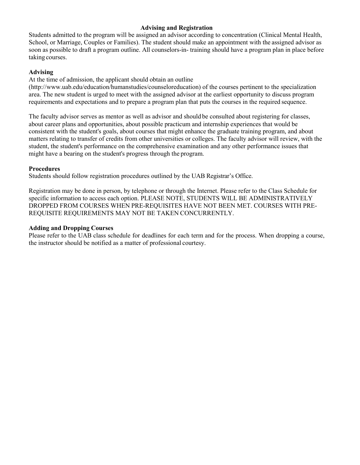#### **Advising and Registration**

Students admitted to the program will be assigned an advisor according to concentration (Clinical Mental Health, School, or Marriage, Couples or Families). The student should make an appointment with the assigned advisor as soon as possible to draft a program outline. All counselors-in- training should have a program plan in place before taking courses.

### **Advising**

At the time of admission, the applicant should obtain an outline

(http://www.uab.edu/education/humanstudies/counseloreducation) of the courses pertinent to the specialization area. The new student is urged to meet with the assigned advisor at the earliest opportunity to discuss program requirements and expectations and to prepare a program plan that puts the courses in the required sequence.

The faculty advisor serves as mentor as well as advisor and should be consulted about registering for classes, about career plans and opportunities, about possible practicum and internship experiences that would be consistent with the student's goals, about courses that might enhance the graduate training program, and about matters relating to transfer of credits from other universities or colleges. The faculty advisor will review, with the student, the student's performance on the comprehensive examination and any other performance issues that might have a bearing on the student's progress through the program.

### **Procedures**

Students should follow registration procedures outlined by the UAB Registrar's Office.

Registration may be done in person, by telephone or through the Internet. Please refer to the Class Schedule for specific information to access each option. PLEASE NOTE, STUDENTS WILL BE ADMINISTRATIVELY DROPPED FROM COURSES WHEN PRE-REQUISITES HAVE NOT BEEN MET. COURSES WITH PRE-REQUISITE REQUIREMENTS MAY NOT BE TAKEN CONCURRENTLY.

### **Adding and Dropping Courses**

Please refer to the UAB class schedule for deadlines for each term and for the process. When dropping a course, the instructor should be notified as a matter of professional courtesy.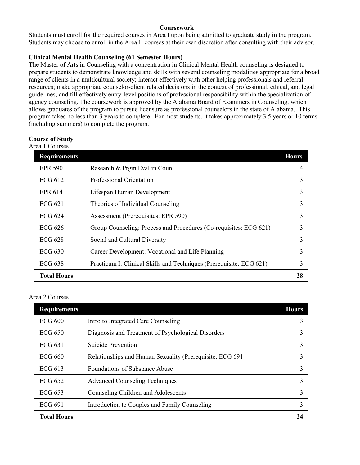#### **Coursework**

Students must enroll for the required courses in Area I upon being admitted to graduate study in the program. Students may choose to enroll in the Area II courses at their own discretion after consulting with their advisor.

# **Clinical Mental Health Counseling (61 Semester Hours)**

The Master of Arts in Counseling with a concentration in Clinical Mental Health counseling is designed to prepare students to demonstrate knowledge and skills with several counseling modalities appropriate for a broad range of clients in a multicultural society; interact effectively with other helping professionals and referral resources; make appropriate counselor-client related decisions in the context of professional, ethical, and legal guidelines; and fill effectively entry-level positions of professional responsibility within the specialization of agency counseling. The coursework is approved by the Alabama Board of Examiners in Counseling, which allows graduates of the program to pursue licensure as professional counselors in the state of Alabama. This program takes no less than 3 years to complete. For most students, it takes approximately 3.5 years or 10 terms (including summers) to complete the program.

#### **Course of Study**

Area 1 Courses

| <b>Requirements</b> |                                                                     | <b>Hours</b> |
|---------------------|---------------------------------------------------------------------|--------------|
| <b>EPR 590</b>      | Research & Prgm Eval in Coun                                        |              |
| ECG 612             | Professional Orientation                                            | 3            |
| <b>EPR 614</b>      | Lifespan Human Development                                          | 3            |
| <b>ECG 621</b>      | Theories of Individual Counseling                                   | 3            |
| ECG 624             | Assessment (Prerequisites: EPR 590)                                 | 3            |
| ECG 626             | Group Counseling: Process and Procedures (Co-requisites: ECG 621)   | 3            |
| ECG 628             | Social and Cultural Diversity                                       | 3            |
| ECG 630             | Career Development: Vocational and Life Planning                    | 3            |
| <b>ECG 638</b>      | Practicum I: Clinical Skills and Techniques (Prerequisite: ECG 621) | 3            |
| <b>Total Hours</b>  |                                                                     | 28           |

#### Area 2 Courses

| <b>Requirements</b> |                                                          | <b>Hours</b> |
|---------------------|----------------------------------------------------------|--------------|
| $ECG$ 600           | Intro to Integrated Care Counseling                      |              |
| ECG 650             | Diagnosis and Treatment of Psychological Disorders       | 3            |
| ECG 631             | Suicide Prevention                                       | 3            |
| <b>ECG 660</b>      | Relationships and Human Sexuality (Prerequisite: ECG 691 |              |
| $ECG$ 613           | Foundations of Substance Abuse                           |              |
| ECG 652             | <b>Advanced Counseling Techniques</b>                    | 3            |
| ECG 653             | Counseling Children and Adolescents                      |              |
| <b>ECG 691</b>      | Introduction to Couples and Family Counseling            |              |
| <b>Total Hours</b>  |                                                          |              |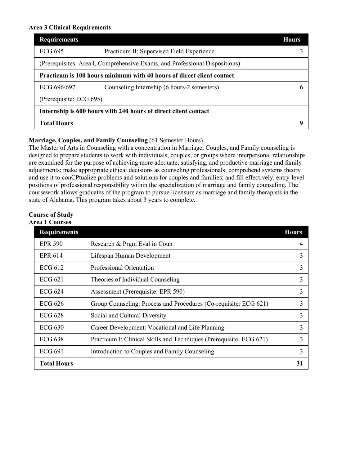#### **Area 3 Clinical Requirements**

| <b>Requirements</b>                                                          | <b>Hours</b> |
|------------------------------------------------------------------------------|--------------|
| ECG 695<br>Practicum II: Supervised Field Experience                         |              |
| (Prerequisites: Area I, Comprehensive Exams, and Professional Dispositions)  |              |
| <b>Practicum is 100 hours minimum with 40 hours of direct client contact</b> |              |
| ECG 696/697<br>Counseling Internship (6 hours-2 semesters)                   |              |
| (Prerequisite: ECG 695)                                                      |              |
| Internship is 600 hours with 240 hours of direct client contact              |              |
| <b>Total Hours</b>                                                           | Q            |

### **Marriage, Couples, and Family Counseling** (61 Semester Hours)

The Master of Arts in Counseling with a concentration in Marriage, Couples, and Family counseling is designed to prepare students to work with individuals, couples, or groups where interpersonal relationships are examined for the purpose of achieving more adequate, satisfying, and productive marriage and family adjustments; make appropriate ethical decisions as counseling professionals; comprehend systems theory and use it to conCPtualize problems and solutions for couples and families; and fill effectively, entry-level positions of professional responsibility within the specialization of marriage and family counseling. The coursework allows graduates of the program to pursue licensure as marriage and family therapists in the state of Alabama. This program takes about 3 years to complete.

# **Course of Study**

**Area 1 Courses**

| <b>Requirements</b> |                                                                     | <b>Hours</b> |
|---------------------|---------------------------------------------------------------------|--------------|
| <b>EPR 590</b>      | Research & Prgm Eval in Coun                                        | 4            |
| <b>EPR 614</b>      | Lifespan Human Development                                          | 3            |
| ECG 612             | Professional Orientation                                            | 3            |
| <b>ECG 621</b>      | Theories of Individual Counseling                                   | 3            |
| ECG 624             | Assessment (Prerequisite: EPR 590)                                  | 3            |
| ECG 626             | Group Counseling: Process and Procedures (Co-requisite: ECG 621)    | 3            |
| <b>ECG 628</b>      | Social and Cultural Diversity                                       | 3            |
| $ECG$ 630           | Career Development: Vocational and Life Planning                    | 3            |
| <b>ECG 638</b>      | Practicum I: Clinical Skills and Techniques (Prerequisite: ECG 621) | 3            |
| <b>ECG 691</b>      | Introduction to Couples and Family Counseling                       | 3            |
| <b>Total Hours</b>  |                                                                     | 31           |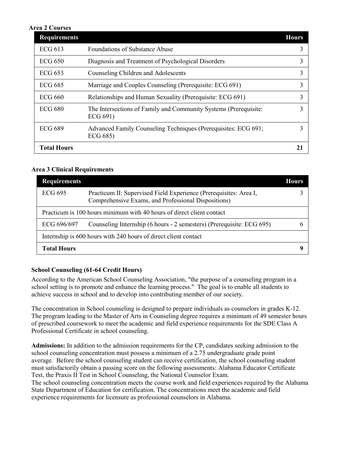#### **Area 2 Courses**

| <b>Requirements</b> |                                                                              | <b>Hours</b> |
|---------------------|------------------------------------------------------------------------------|--------------|
| <b>ECG 613</b>      | <b>Foundations of Substance Abuse</b>                                        |              |
| ECG 650             | Diagnosis and Treatment of Psychological Disorders                           |              |
| <b>ECG 653</b>      | Counseling Children and Adolescents                                          |              |
| <b>ECG 685</b>      | Marriage and Couples Counseling (Prerequisite: ECG 691)                      |              |
| ECG 660             | Relationships and Human Sexuality (Prerequisite: ECG 691)                    |              |
| <b>ECG 680</b>      | The Intersections of Family and Community Systems (Prerequisite:<br>ECG 691) |              |
| <b>ECG 689</b>      | Advanced Family Counseling Techniques (Prerequisites: ECG 691;<br>ECG 685)   |              |
| <b>Total Hours</b>  |                                                                              |              |

### **Area 3 Clinical Requirements**

| <b>Requirements</b> |                                                                                                                          | Hours |
|---------------------|--------------------------------------------------------------------------------------------------------------------------|-------|
| ECG 695             | Practicum II: Supervised Field Experience (Prerequisites: Area I,<br>Comprehensive Exams, and Professional Dispositions) |       |
|                     | Practicum is 100 hours minimum with 40 hours of direct client contact                                                    |       |
| ECG 696/697         | Counseling Internship (6 hours - 2 semesters) (Prerequisite: ECG 695)                                                    |       |
|                     | Internship is 600 hours with 240 hours of direct client contact                                                          |       |
| <b>Total Hours</b>  |                                                                                                                          |       |

# **School Counseling (61-64 Credit Hours)**

According to the American School Counseling Association, "the purpose of a counseling program in a school setting is to promote and enhance the learning process." The goal is to enable all students to achieve success in school and to develop into contributing member of our society.

The concentration in School counseling is designed to prepare individuals as counselors in grades K-12. The program leading to the Master of Arts in Counseling degree requires a minimum of 49 semester hours of prescribed coursework to meet the academic and field experience requirements for the SDE Class A Professional Certificate in school counseling.

**Admissions:** In addition to the admission requirements for the CP, candidates seeking admission to the school counseling concentration must possess a minimum of a 2.75 undergraduate grade point average. Before the school counseling student can receive certification, the school counseling student must satisfactorily obtain a passing score on the following assessments: Alabama Educator Certificate Test, the Praxis II Test in School Counseling, the National Counselor Exam.

The school counseling concentration meets the course work and field experiences required by the Alabama State Department of Education for certification. The concentrations meet the academic and field experience requirements for licensure as professional counselors in Alabama.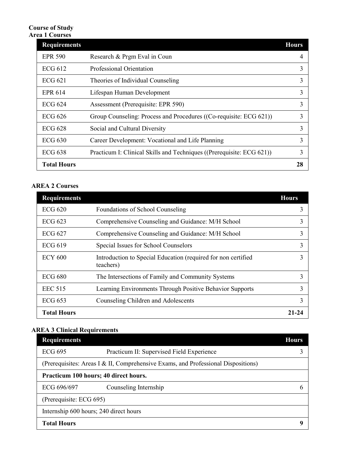# **Course of Study Area 1 Courses**

| <b>Requirements</b> |                                                                       | <b>Hours</b> |
|---------------------|-----------------------------------------------------------------------|--------------|
| <b>EPR 590</b>      | Research & Prgm Eval in Coun                                          |              |
| ECG 612             | Professional Orientation                                              |              |
| ECG 621             | Theories of Individual Counseling                                     | 3            |
| EPR 614             | Lifespan Human Development                                            | 3            |
| <b>ECG 624</b>      | Assessment (Prerequisite: EPR 590)                                    | 3            |
| <b>ECG 626</b>      | Group Counseling: Process and Procedures ((Co-requisite: ECG 621))    | 3            |
| ECG 628             | Social and Cultural Diversity                                         |              |
| ECG $630$           | Career Development: Vocational and Life Planning                      | 3            |
| ECG 638             | Practicum I: Clinical Skills and Techniques ((Prerequisite: ECG 621)) |              |
| <b>Total Hours</b>  |                                                                       | 28           |

# **AREA 2 Courses**

| <b>Requirements</b> |                                                                            | <b>Hours</b> |
|---------------------|----------------------------------------------------------------------------|--------------|
| <b>ECG 620</b>      | Foundations of School Counseling                                           |              |
| ECG 623             | Comprehensive Counseling and Guidance: M/H School                          |              |
| <b>ECG 627</b>      | Comprehensive Counseling and Guidance: M/H School                          |              |
| <b>ECG 619</b>      | Special Issues for School Counselors                                       |              |
| <b>ECY 600</b>      | Introduction to Special Education (required for non certified<br>teachers) |              |
| <b>ECG 680</b>      | The Intersections of Family and Community Systems                          |              |
| <b>EEC 515</b>      | Learning Environments Through Positive Behavior Supports                   |              |
| ECG 653             | Counseling Children and Adolescents                                        |              |
| <b>Total Hours</b>  |                                                                            | 21.24        |

# **AREA 3 Clinical Requirements**

| <b>Requirements</b>                                                               | <b>Hours</b> |
|-----------------------------------------------------------------------------------|--------------|
| Practicum II: Supervised Field Experience<br><b>ECG 695</b>                       |              |
| (Prerequisites: Areas I & II, Comprehensive Exams, and Professional Dispositions) |              |
| Practicum 100 hours; 40 direct hours.                                             |              |
| ECG 696/697<br>Counseling Internship                                              | h            |
| (Prerequisite: ECG 695)                                                           |              |
| Internship 600 hours; 240 direct hours                                            |              |
| <b>Total Hours</b>                                                                | u            |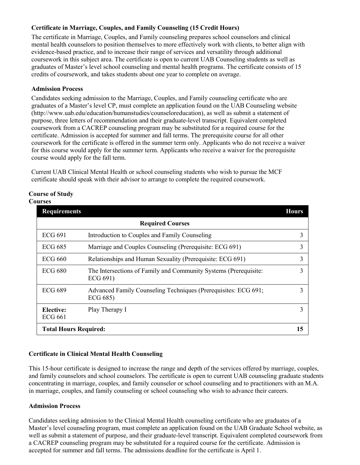# **Certificate in Marriage, Couples, and Family Counseling (15 Credit Hours)**

The certificate in Marriage, Couples, and Family counseling prepares school counselors and clinical mental health counselors to position themselves to more effectively work with clients, to better align with evidence-based practice, and to increase their range of services and versatility through additional coursework in this subject area. The certificate is open to current UAB Counseling students as well as graduates of Master's level school counseling and mental health programs. The certificate consists of 15 credits of coursework, and takes students about one year to complete on average.

#### **Admission Process**

Candidates seeking admission to the Marriage, Couples, and Family counseling certificate who are graduates of a Master's level CP, must complete an application found on the UAB Counseling website (http://www.uab.edu/education/humanstudies/counseloreducation), as well as submit a statement of purpose, three letters of recommendation and their graduate-level transcript. Equivalent completed coursework from a CACREP counseling program may be substituted for a required course for the certificate. Admission is accepted for summer and fall terms. The prerequisite course for all other coursework for the certificate is offered in the summer term only. Applicants who do not receive a waiver for this course would apply for the summer term. Applicants who receive a waiver for the prerequisite course would apply for the fall term.

Current UAB Clinical Mental Health or school counseling students who wish to pursue the MCF certificate should speak with their advisor to arrange to complete the required coursework.

#### **Course of Study Courses**

| <b>Requirements</b>          |                                                                              | <b>Hours</b> |
|------------------------------|------------------------------------------------------------------------------|--------------|
|                              | <b>Required Courses</b>                                                      |              |
| <b>ECG 691</b>               | Introduction to Couples and Family Counseling                                | 3            |
| <b>ECG 685</b>               | Marriage and Couples Counseling (Prerequisite: ECG 691)                      | 3            |
| ECG 660                      | Relationships and Human Sexuality (Prerequisite: ECG 691)                    | 3            |
| <b>ECG 680</b>               | The Intersections of Family and Community Systems (Prerequisite:<br>ECG 691) | 3            |
| <b>ECG 689</b>               | Advanced Family Counseling Techniques (Prerequisites: ECG 691;<br>ECG 685)   | 3            |
| Elective:<br>ECG 661         | Play Therapy I                                                               | 3            |
| <b>Total Hours Required:</b> |                                                                              | 15           |

# **Certificate in Clinical Mental Health Counseling**

This 15-hour certificate is designed to increase the range and depth of the services offered by marriage, couples, and family counselors and school counselors. The certificate is open to current UAB counseling graduate students concentrating in marriage, couples, and family counselor or school counseling and to practitioners with an M.A. in marriage, couples, and family counseling or school counseling who wish to advance their careers.

#### **Admission Process**

Candidates seeking admission to the Clinical Mental Health counseling certificate who are graduates of a Master's level counseling program, must complete an application found on the UAB Graduate School website, as well as submit a statement of purpose, and their graduate-level transcript. Equivalent completed coursework from a CACREP counseling program may be substituted for a required course for the certificate. Admission is accepted for summer and fall terms. The admissions deadline for the certificate is April 1.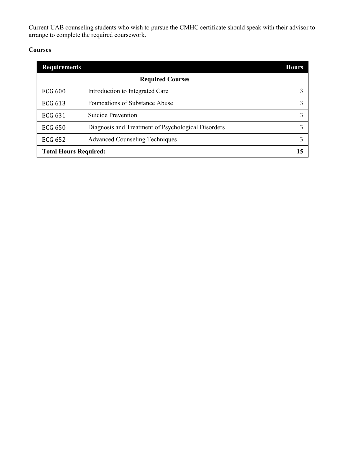Current UAB counseling students who wish to pursue the CMHC certificate should speak with their advisor to arrange to complete the required coursework.

# **Courses**

| <b>Requirements</b>          |                                                    | <b>Hours</b> |  |
|------------------------------|----------------------------------------------------|--------------|--|
| <b>Required Courses</b>      |                                                    |              |  |
| <b>ECG 600</b>               | Introduction to Integrated Care                    |              |  |
| <b>ECG 613</b>               | <b>Foundations of Substance Abuse</b>              |              |  |
| <b>ECG 631</b>               | Suicide Prevention                                 |              |  |
| <b>ECG 650</b>               | Diagnosis and Treatment of Psychological Disorders |              |  |
| <b>ECG 652</b>               | <b>Advanced Counseling Techniques</b>              |              |  |
| <b>Total Hours Required:</b> |                                                    | 15           |  |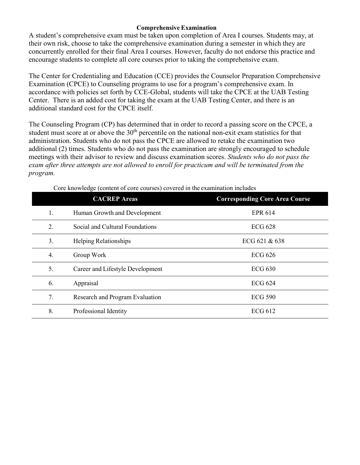# **Comprehensive Examination**

A student's comprehensive exam must be taken upon completion of Area I courses. Students may, at their own risk, choose to take the comprehensive examination during a semester in which they are concurrently enrolled for their final Area I courses. However, faculty do not endorse this practice and encourage students to complete all core courses prior to taking the comprehensive exam.

The Center for Credentialing and Education (CCE) provides the Counselor Preparation Comprehensive Examination (CPCE) to Counseling programs to use for a program's comprehensive exam. In accordance with policies set forth by CCE-Global, students will take the CPCE at the UAB Testing Center. There is an added cost for taking the exam at the UAB Testing Center, and there is an additional standard cost for the CPCE itself.

The Counseling Program (CP) has determined that in order to record a passing score on the CPCE, a student must score at or above the  $30<sup>th</sup>$  percentile on the national non-exit exam statistics for that administration. Students who do not pass the CPCE are allowed to retake the examination two additional (2) times. Students who do not pass the examination are strongly encouraged to schedule meetings with their advisor to review and discuss examination scores. *Students who do not pass the exam after three attempts are not allowed to enroll for practicum and will be terminated from the program.*

|    | <b>CACREP</b> Areas              | <b>Corresponding Core Area Course</b> |
|----|----------------------------------|---------------------------------------|
| 1. | Human Growth and Development     | <b>EPR 614</b>                        |
| 2. | Social and Cultural Foundations  | <b>ECG 628</b>                        |
| 3. | Helping Relationships            | ECG 621 & 638                         |
| 4. | Group Work                       | <b>ECG 626</b>                        |
| 5. | Career and Lifestyle Development | <b>ECG 630</b>                        |
| 6. | Appraisal                        | <b>ECG 624</b>                        |
| 7. | Research and Program Evaluation  | <b>ECG 590</b>                        |
| 8. | Professional Identity            | <b>ECG 612</b>                        |

Core knowledge (content of core courses) covered in the examination includes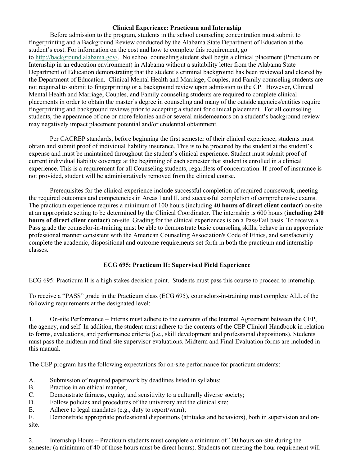#### **Clinical Experience: Practicum and Internship**

Before admission to the program, students in the school counseling concentration must submit to fingerprinting and a Background Review conducted by the Alabama State Department of Education at the student's cost. For information on the cost and how to complete this requirement, go to [http://background.alabama.gov/.](http://background.alabama.gov/) No school counseling student shall begin a clinical placement (Practicum or Internship in an education environment) in Alabama without a suitability letter from the Alabama State Department of Education demonstrating that the student's criminal background has been reviewed and cleared by the Department of Education. Clinical Mental Health and Marriage, Couples, and Family counseling students are not required to submit to fingerprinting or a background review upon admission to the CP. However, Clinical Mental Health and Marriage, Couples, and Family counseling students are required to complete clinical placements in order to obtain the master's degree in counseling and many of the outside agencies/entities require fingerprinting and background reviews prior to accepting a student for clinical placement. For all counseling students, the appearance of one or more felonies and/or several misdemeanors on a student's background review may negatively impact placement potential and/or credential obtainment.

Per CACREP standards, before beginning the first semester of their clinical experience, students must obtain and submit proof of individual liability insurance. This is to be procured by the student at the student's expense and must be maintained throughout the student's clinical experience. Student must submit proof of current individual liability coverage at the beginning of each semester that student is enrolled in a clinical experience. This is a requirement for all Counseling students, regardless of concentration. If proof of insurance is not provided, student will be administratively removed from the clinical course.

Prerequisites for the clinical experience include successful completion of required coursework, meeting the required outcomes and competencies in Areas I and II, and successful completion of comprehensive exams. The practicum experience requires a minimum of 100 hours (including **40 hours of direct client contact)** on-site at an appropriate setting to be determined by the Clinical Coordinator. The internship is 600 hours (**including 240 hours of direct client contact**) on-site. Grading for the clinical experiences is on a Pass/Fail basis. To receive a Pass grade the counselor-in-training must be able to demonstrate basic counseling skills, behave in an appropriate professional manner consistent with the American Counseling Association's Code of Ethics, and satisfactorily complete the academic, dispositional and outcome requirements set forth in both the practicum and internship classes.

# **ECG 695: Practicum II: Supervised Field Experience**

ECG 695: Practicum II is a high stakes decision point. Students must pass this course to proceed to internship.

To receive a "PASS" grade in the Practicum class (ECG 695), counselors-in-training must complete ALL of the following requirements at the designated level:

1. On-site Performance – Interns must adhere to the contents of the Internal Agreement between the CEP, the agency, and self. In addition, the student must adhere to the contents of the CEP Clinical Handbook in relation to forms, evaluations, and performance criteria (i.e., skill development and professional dispositions). Students must pass the midterm and final site supervisor evaluations. Midterm and Final Evaluation forms are included in this manual.

The CEP program has the following expectations for on-site performance for practicum students:

- A. Submission of required paperwork by deadlines listed in syllabus;
- B. Practice in an ethical manner;
- C. Demonstrate fairness, equity, and sensitivity to a culturally diverse society;
- D. Follow policies and procedures of the university and the clinical site;
- E. Adhere to legal mandates (e.g., duty to report/warn);

F. Demonstrate appropriate professional dispositions (attitudes and behaviors), both in supervision and onsite.

2. Internship Hours – Practicum students must complete a minimum of 100 hours on-site during the semester (a minimum of 40 of those hours must be direct hours). Students not meeting the hour requirement will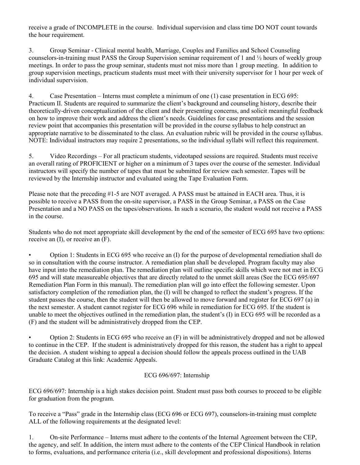receive a grade of INCOMPLETE in the course. Individual supervision and class time DO NOT count towards the hour requirement.

3. Group Seminar - Clinical mental health, Marriage, Couples and Families and School Counseling counselors-in-training must PASS the Group Supervision seminar requirement of 1 and ½ hours of weekly group meetings. In order to pass the group seminar, students must not miss more than 1 group meeting. In addition to group supervision meetings, practicum students must meet with their university supervisor for 1 hour per week of individual supervision.

4. Case Presentation – Interns must complete a minimum of one (1) case presentation in ECG 695: Practicum II. Students are required to summarize the client's background and counseling history, describe their theoretically-driven conceptualization of the client and their presenting concerns, and solicit meaningful feedback on how to improve their work and address the client's needs. Guidelines for case presentations and the session review point that accompanies this presentation will be provided in the course syllabus to help construct an appropriate narrative to be disseminated to the class. An evaluation rubric will be provided in the course syllabus. NOTE: Individual instructors may require 2 presentations, so the individual syllabi will reflect this requirement.

5. Video Recordings – For all practicum students, videotaped sessions are required. Students must receive an overall rating of PROFICIENT or higher on a minimum of 3 tapes over the course of the semester. Individual instructors will specify the number of tapes that must be submitted for review each semester. Tapes will be reviewed by the Internship instructor and evaluated using the Tape Evaluation Form.

Please note that the preceding #1-5 are NOT averaged. A PASS must be attained in EACH area. Thus, it is possible to receive a PASS from the on-site supervisor, a PASS in the Group Seminar, a PASS on the Case Presentation and a NO PASS on the tapes/observations. In such a scenario, the student would not receive a PASS in the course.

Students who do not meet appropriate skill development by the end of the semester of ECG 695 have two options: receive an (I), or receive an (F).

• Option 1: Students in ECG 695 who receive an (I) for the purpose of developmental remediation shall do so in consultation with the course instructor. A remediation plan shall be developed. Program faculty may also have input into the remediation plan. The remediation plan will outline specific skills which were not met in ECG 695 and will state measureable objectives that are directly related to the unmet skill areas (See the ECG 695/697 Remediation Plan Form in this manual). The remediation plan will go into effect the following semester. Upon satisfactory completion of the remediation plan, the (I) will be changed to reflect the student's progress. If the student passes the course, then the student will then be allowed to move forward and register for ECG 697 (a) in the next semester. A student cannot register for ECG 696 while in remediation for ECG 695. If the student is unable to meet the objectives outlined in the remediation plan, the student's (I) in ECG 695 will be recorded as a (F) and the student will be administratively dropped from the CEP.

• Option 2: Students in ECG 695 who receive an (F) in will be administratively dropped and not be allowed to continue in the CEP. If the student is administratively dropped for this reason, the student has a right to appeal the decision. A student wishing to appeal a decision should follow the appeals process outlined in the UAB Graduate Catalog at this link: Academic Appeals.

# ECG 696/697: Internship

ECG 696/697: Internship is a high stakes decision point. Student must pass both courses to proceed to be eligible for graduation from the program.

To receive a "Pass" grade in the Internship class (ECG 696 or ECG 697), counselors-in-training must complete ALL of the following requirements at the designated level:

1. On-site Performance – Interns must adhere to the contents of the Internal Agreement between the CEP, the agency, and self. In addition, the intern must adhere to the contents of the CEP Clinical Handbook in relation to forms, evaluations, and performance criteria (i.e., skill development and professional dispositions). Interns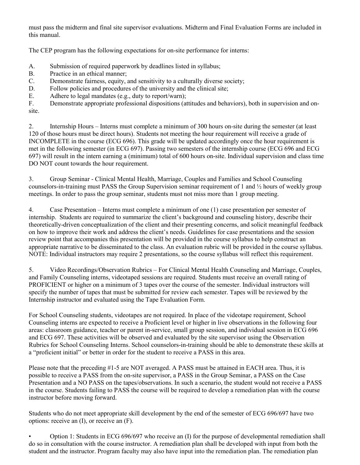must pass the midterm and final site supervisor evaluations. Midterm and Final Evaluation Forms are included in this manual.

The CEP program has the following expectations for on-site performance for interns:

- A. Submission of required paperwork by deadlines listed in syllabus;
- B. Practice in an ethical manner;
- C. Demonstrate fairness, equity, and sensitivity to a culturally diverse society;
- D. Follow policies and procedures of the university and the clinical site;
- E. Adhere to legal mandates (e.g., duty to report/warn);<br>F. Demonstrate appropriate professional dispositions (at

Demonstrate appropriate professional dispositions (attitudes and behaviors), both in supervision and onsite.

2. Internship Hours – Interns must complete a minimum of 300 hours on-site during the semester (at least 120 of those hours must be direct hours). Students not meeting the hour requirement will receive a grade of INCOMPLETE in the course (ECG 696). This grade will be updated accordingly once the hour requirement is met in the following semester (in ECG 697). Passing two semesters of the internship course (ECG 696 and ECG 697) will result in the intern earning a (minimum) total of 600 hours on-site. Individual supervision and class time DO NOT count towards the hour requirement.

3. Group Seminar - Clinical Mental Health, Marriage, Couples and Families and School Counseling counselors-in-training must PASS the Group Supervision seminar requirement of 1 and ½ hours of weekly group meetings. In order to pass the group seminar, students must not miss more than 1 group meeting.

4. Case Presentation – Interns must complete a minimum of one (1) case presentation per semester of internship. Students are required to summarize the client's background and counseling history, describe their theoretically-driven conceptualization of the client and their presenting concerns, and solicit meaningful feedback on how to improve their work and address the client's needs. Guidelines for case presentations and the session review point that accompanies this presentation will be provided in the course syllabus to help construct an appropriate narrative to be disseminated to the class. An evaluation rubric will be provided in the course syllabus. NOTE: Individual instructors may require 2 presentations, so the course syllabus will reflect this requirement.

5. Video Recordings/Observation Rubrics – For Clinical Mental Health Counseling and Marriage, Couples, and Family Counseling interns, videotaped sessions are required. Students must receive an overall rating of PROFICIENT or higher on a minimum of 3 tapes over the course of the semester. Individual instructors will specify the number of tapes that must be submitted for review each semester. Tapes will be reviewed by the Internship instructor and evaluated using the Tape Evaluation Form.

For School Counseling students, videotapes are not required. In place of the videotape requirement, School Counseling interns are expected to receive a Proficient level or higher in live observations in the following four areas: classroom guidance, teacher or parent in-service, small group session, and individual session in ECG 696 and ECG 697. These activities will be observed and evaluated by the site supervisor using the Observation Rubrics for School Counseling Interns. School counselors-in-training should be able to demonstrate these skills at a "proficient initial" or better in order for the student to receive a PASS in this area.

Please note that the preceding #1-5 are NOT averaged. A PASS must be attained in EACH area. Thus, it is possible to receive a PASS from the on-site supervisor, a PASS in the Group Seminar, a PASS on the Case Presentation and a NO PASS on the tapes/observations. In such a scenario, the student would not receive a PASS in the course. Students failing to PASS the course will be required to develop a remediation plan with the course instructor before moving forward.

Students who do not meet appropriate skill development by the end of the semester of ECG 696/697 have two options: receive an (I), or receive an (F).

• Option 1: Students in ECG 696/697 who receive an (I) for the purpose of developmental remediation shall do so in consultation with the course instructor. A remediation plan shall be developed with input from both the student and the instructor. Program faculty may also have input into the remediation plan. The remediation plan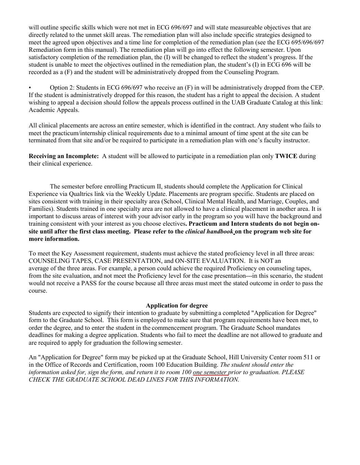will outline specific skills which were not met in ECG 696/697 and will state measureable objectives that are directly related to the unmet skill areas. The remediation plan will also include specific strategies designed to meet the agreed upon objectives and a time line for completion of the remediation plan (see the ECG 695/696/697 Remediation form in this manual). The remediation plan will go into effect the following semester. Upon satisfactory completion of the remediation plan, the (I) will be changed to reflect the student's progress. If the student is unable to meet the objectives outlined in the remediation plan, the student's (I) in ECG 696 will be recorded as a (F) and the student will be administratively dropped from the Counseling Program.

• Option 2: Students in ECG 696/697 who receive an (F) in will be administratively dropped from the CEP. If the student is administratively dropped for this reason, the student has a right to appeal the decision. A student wishing to appeal a decision should follow the appeals process outlined in the UAB Graduate Catalog at this link: Academic Appeals.

All clinical placements are across an entire semester, which is identified in the contract. Any student who fails to meet the practicum/internship clinical requirements due to a minimal amount of time spent at the site can be terminated from that site and/or be required to participate in a remediation plan with one's faculty instructor.

**Receiving an Incomplete:** A student will be allowed to participate in a remediation plan only **TWICE** during their clinical experience.

The semester before enrolling Practicum II, students should complete the Application for Clinical Experience via Qualtrics link via the Weekly Update. Placements are program specific. Students are placed on sites consistent with training in their specialty area (School, Clinical Mental Health, and Marriage, Couples, and Families). Students trained in one specialty area are not allowed to have a clinical placement in another area. It is important to discuss areas of interest with your advisor early in the program so you will have the background and training consistent with your interest as you choose electives**. Practicum and Intern students do not begin onsite until after the first class meeting. Please refer to the** *clinical handbook* **on the program web site for more information.**

To meet the Key Assessment requirement, students must achieve the stated proficiency level in all three areas: COUNSELING TAPES, CASE PRESENTATION, and ON-SITE EVALUATION. It is NOT an average of the three areas. For example, a person could achieve the required Proficiency on counseling tapes, from the site evaluation, and not meet the Proficiency level for the case presentation---in this scenario, the student would not receive a PASS for the course because all three areas must meet the stated outcome in order to pass the course.

#### **Application for degree**

Students are expected to signify their intention to graduate by submitting a completed "Application for Degree" form to the Graduate School. This form is employed to make sure that program requirements have been met, to order the degree, and to enter the student in the commencement program. The Graduate School mandates deadlines for making a degree application. Students who fail to meet the deadline are not allowed to graduate and are required to apply for graduation the following semester.

An "Application for Degree" form may be picked up at the Graduate School, Hill University Center room 511 or in the Office of Records and Certification, room 100 Education Building. *The student should enter the information asked for, sign the form, and return it to room 100 one semester prior to graduation. PLEASE CHECK THE GRADUATE SCHOOL DEAD LINES FOR THIS INFORMATION.*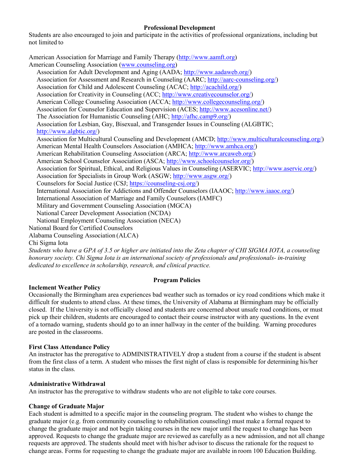### **Professional Development**

Students are also encouraged to join and participate in the activities of professional organizations, including but not limited to

American Association for Marriage and Family Therapy [\(http://www.aamft.org\)](http://www.aamft.org/) American Counseling Association [\(www.counseling.org\)](http://www.counseling.org/) Association for Adult Development and Aging (AADA; [http://www.aadaweb.org/\)](http://www.aadaweb.org/) Association for Assessment and Research in Counseling (AARC; [http://aarc-counseling.org/\)](http://aarc-counseling.org/) Association for Child and Adolescent Counseling (ACAC; [http://acachild.org/\)](http://acachild.org/) Association for Creativity in Counseling (ACC; [http://www.creativecounselor.org/\)](http://www.creativecounselor.org/) American College Counseling Association (ACCA; [http://www.collegecounseling.org/\)](http://www.collegecounseling.org/) Association for Counselor Education and Supervision (ACES; [http://www.acesonline.net/\)](http://www.acesonline.net/) The Association for Humanistic Counseling (AHC; [http://afhc.camp9.org/\)](http://afhc.camp9.org/) Association for Lesbian, Gay, Bisexual, and Transgender Issues in Counseling (ALGBTIC; [http://www.algbtic.org/\)](http://www.algbtic.org/) Association for Multicultural Counseling and Development (AMCD; [http://www.multiculturalcounseling.org/\)](http://www.multiculturalcounseling.org/) American Mental Health Counselors Association (AMHCA; [http://www.amhca.org/\)](http://www.amhca.org/) American Rehabilitation Counseling Association (ARCA; [http://www.arcaweb.org/\)](http://www.arcaweb.org/) American School Counselor Association (ASCA; [http://www.schoolcounselor.org/\)](http://www.schoolcounselor.org/) Association for Spiritual, Ethical, and Religious Values in Counseling (ASERVIC; [http://www.aservic.org/\)](http://www.aservic.org/) Association for Specialists in Group Work (ASGW; [http://www.asgw.org/\)](http://www.asgw.org/) Counselors for Social Justice (CSJ; [https://counseling-csj.org/\)](https://counseling-csj.org/) International Association for Addictions and Offender Counselors (IAAOC; [http://www.iaaoc.org/\)](http://www.iaaoc.org/) International Association of Marriage and Family Counselors (IAMFC) Military and Government Counseling Association (MGCA) National Career Development Association (NCDA) National Employment Counseling Association (NECA) National Board for Certified Counselors Alabama Counseling Association (ALCA) Chi Sigma Iota *Students who have a GPA of 3.5 or higher are initiated into the Zeta chapter of CHI SIGMA IOTA, a counseling honorary society. Chi Sigma Iota is an international society of professionals and professionals- in-training*

*dedicated to excellence in scholarship, research, and clinical practice.*

# **Program Policies**

# **Inclement Weather Policy**

Occasionally the Birmingham area experiences bad weather such as tornados or icy road conditions which make it difficult for students to attend class. At these times, the University of Alabama at Birmingham may be officially closed. If the University is not officially closed and students are concerned about unsafe road conditions, or must pick up their children, students are encouraged to contact their course instructor with any questions. In the event of a tornado warning, students should go to an inner hallway in the center of the building. Warning procedures are posted in the classrooms.

#### **First Class Attendance Policy**

An instructor has the prerogative to ADMINISTRATIVELY drop a student from a course if the student is absent from the first class of a term. A student who misses the first night of class is responsible for determining his/her status in the class.

#### **Administrative Withdrawal**

An instructor has the prerogative to withdraw students who are not eligible to take core courses.

# **Change of Graduate Major**

Each student is admitted to a specific major in the counseling program. The student who wishes to change the graduate major (e.g. from community counseling to rehabilitation counseling) must make a formal request to change the graduate major and not begin taking courses in the new major until the request to change has been approved. Requests to change the graduate major are reviewed as carefully as a new admission, and not all change requests are approved. The students should meet with his/her advisor to discuss the rationale for the request to change areas. Forms for requesting to change the graduate major are available in room 100 Education Building.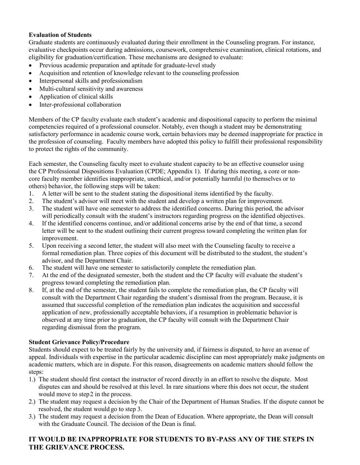### **Evaluation of Students**

Graduate students are continuously evaluated during their enrollment in the Counseling program. For instance, evaluative checkpoints occur during admissions, coursework, comprehensive examination, clinical rotations, and eligibility for graduation/certification. These mechanisms are designed to evaluate:

- Previous academic preparation and aptitude for graduate-level study
- Acquisition and retention of knowledge relevant to the counseling profession
- Interpersonal skills and professionalism
- Multi-cultural sensitivity and awareness
- Application of clinical skills
- Inter-professional collaboration

Members of the CP faculty evaluate each student's academic and dispositional capacity to perform the minimal competencies required of a professional counselor. Notably, even though a student may be demonstrating satisfactory performance in academic course work, certain behaviors may be deemed inappropriate for practice in the profession of counseling. Faculty members have adopted this policy to fulfill their professional responsibility to protect the rights of the community.

Each semester, the Counseling faculty meet to evaluate student capacity to be an effective counselor using the CP Professional Dispositions Evaluation (CPDE; Appendix 1). If during this meeting, a core or noncore faculty member identifies inappropriate, unethical, and/or potentially harmful (to themselves or to others) behavior, the following steps will be taken:

- 1. A letter will be sent to the student stating the dispositional items identified by the faculty.
- 2. The student's advisor will meet with the student and develop a written plan for improvement.
- 3. The student will have one semester to address the identified concerns. During this period, the advisor will periodically consult with the student's instructors regarding progress on the identified objectives.
- 4. If the identified concerns continue, and/or additional concerns arise by the end of that time, a second letter will be sent to the student outlining their current progress toward completing the written plan for improvement.
- 5. Upon receiving a second letter, the student will also meet with the Counseling faculty to receive a formal remediation plan. Three copies of this document will be distributed to the student, the student's advisor, and the Department Chair.
- 6. The student will have one semester to satisfactorily complete the remediation plan.
- 7. At the end of the designated semester, both the student and the CP faculty will evaluate the student's progress toward completing the remediation plan.
- 8. If, at the end of the semester, the student fails to complete the remediation plan, the CP faculty will consult with the Department Chair regarding the student's dismissal from the program. Because, it is assumed that successful completion of the remediation plan indicates the acquisition and successful application of new, professionally acceptable behaviors, if a resumption in problematic behavior is observed at any time prior to graduation, the CP faculty will consult with the Department Chair regarding dismissal from the program.

# **Student Grievance Policy/Procedure**

Students should expect to be treated fairly by the university and, if fairness is disputed, to have an avenue of appeal. Individuals with expertise in the particular academic discipline can most appropriately make judgments on academic matters, which are in dispute. For this reason, disagreements on academic matters should follow the steps:

- 1.) The student should first contact the instructor of record directly in an effort to resolve the dispute. Most disputes can and should be resolved at this level. In rare situations where this does not occur, the student would move to step2 in the process.
- 2.) The student may request a decision by the Chair of the Department of Human Studies. If the dispute cannot be resolved, the student would go to step 3.
- 3.) The student may request a decision from the Dean of Education. Where appropriate, the Dean will consult with the Graduate Council. The decision of the Dean is final.

# **IT WOULD BE INAPPROPRIATE FOR STUDENTS TO BY-PASS ANY OF THE STEPS IN THE GRIEVANCE PROCESS.**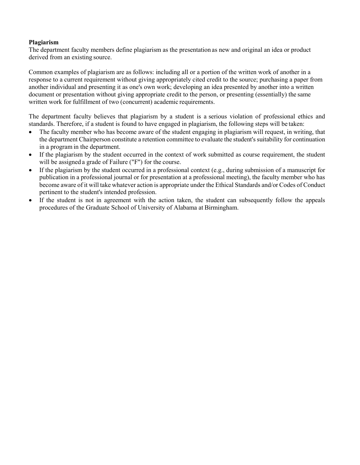#### **Plagiarism**

The department faculty members define plagiarism as the presentation as new and original an idea or product derived from an existing source.

Common examples of plagiarism are as follows: including all or a portion of the written work of another in a response to a current requirement without giving appropriately cited credit to the source; purchasing a paper from another individual and presenting it as one's own work; developing an idea presented by another into a written document or presentation without giving appropriate credit to the person, or presenting (essentially) the same written work for fulfillment of two (concurrent) academic requirements.

The department faculty believes that plagiarism by a student is a serious violation of professional ethics and standards. Therefore, if a student is found to have engaged in plagiarism, the following steps will be taken:

- The faculty member who has become aware of the student engaging in plagiarism will request, in writing, that the department Chairperson constitute a retention committee to evaluate the student's suitability for continuation in a program in the department.
- If the plagiarism by the student occurred in the context of work submitted as course requirement, the student will be assigned a grade of Failure ("F") for the course.
- If the plagiarism by the student occurred in a professional context (e.g., during submission of a manuscript for publication in a professional journal or for presentation at a professional meeting), the faculty member who has become aware of it will take whatever action is appropriate under the Ethical Standards and/or Codes of Conduct pertinent to the student's intended profession.
- If the student is not in agreement with the action taken, the student can subsequently follow the appeals procedures of the Graduate School of University of Alabama at Birmingham.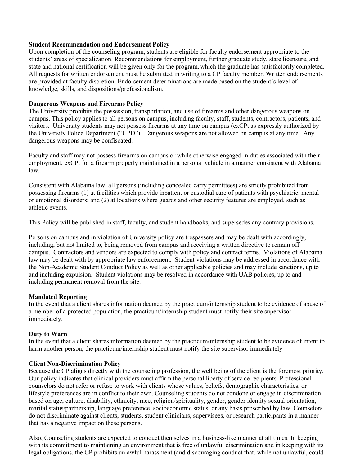#### **Student Recommendation and Endorsement Policy**

Upon completion of the counseling program, students are eligible for faculty endorsement appropriate to the students' areas of specialization. Recommendations for employment, further graduate study, state licensure, and state and national certification will be given only for the program, which the graduate has satisfactorily completed. All requests for written endorsement must be submitted in writing to a CP faculty member. Written endorsements are provided at faculty discretion. Endorsement determinations are made based on the student's level of knowledge, skills, and dispositions/professionalism.

#### **Dangerous Weapons and Firearms Policy**

The University prohibits the possession, transportation, and use of firearms and other dangerous weapons on campus. This policy applies to all persons on campus, including faculty, staff, students, contractors, patients, and visitors. University students may not possess firearms at any time on campus (exCPt as expressly authorized by the University Police Department ("UPD"). Dangerous weapons are not allowed on campus at any time. Any dangerous weapons may be confiscated.

Faculty and staff may not possess firearms on campus or while otherwise engaged in duties associated with their employment, exCPt for a firearm properly maintained in a personal vehicle in a manner consistent with Alabama law.

Consistent with Alabama law, all persons (including concealed carry permittees) are strictly prohibited from possessing firearms (1) at facilities which provide inpatient or custodial care of patients with psychiatric, mental or emotional disorders; and (2) at locations where guards and other security features are employed, such as athletic events.

This Policy will be published in staff, faculty, and student handbooks, and supersedes any contrary provisions.

Persons on campus and in violation of University policy are trespassers and may be dealt with accordingly, including, but not limited to, being removed from campus and receiving a written directive to remain off campus. Contractors and vendors are expected to comply with policy and contract terms. Violations of Alabama law may be dealt with by appropriate law enforcement. Student violations may be addressed in accordance with the Non-Academic Student Conduct Policy as well as other applicable policies and may include sanctions, up to and including expulsion. Student violations may be resolved in accordance with UAB policies, up to and including permanent removal from the site.

#### **Mandated Reporting**

In the event that a client shares information deemed by the practicum/internship student to be evidence of abuse of a member of a protected population, the practicum/internship student must notify their site supervisor immediately.

#### **Duty to Warn**

In the event that a client shares information deemed by the practicum/internship student to be evidence of intent to harm another person, the practicum/internship student must notify the site supervisor immediately

#### **Client Non-Discrimination Policy**

Because the CP aligns directly with the counseling profession, the well being of the client is the foremost priority. Our policy indicates that clinical providers must affirm the personal liberty of service recipients. Professional counselors do not refer or refuse to work with clients whose values, beliefs, demographic characteristics, or lifestyle preferences are in conflict to their own. Counseling students do not condone or engage in discrimination based on age, culture, disability, ethnicity, race, religion/spirituality, gender, gender identity sexual orientation, marital status/partnership, language preference, socioeconomic status, or any basis proscribed by law. Counselors do not discriminate against clients, students, student clinicians, supervisees, or research participants in a manner that has a negative impact on these persons.

Also, Counseling students are expected to conduct themselves in a business-like manner at all times. In keeping with its commitment to maintaining an environment that is free of unlawful discrimination and in keeping with its legal obligations, the CP prohibits unlawful harassment (and discouraging conduct that, while not unlawful, could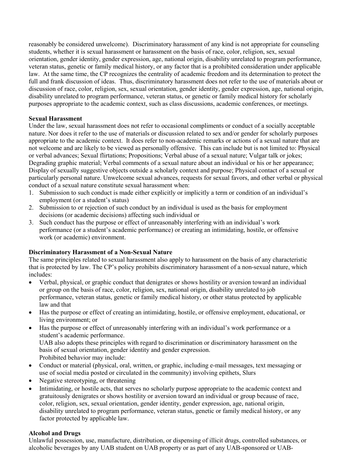reasonably be considered unwelcome). Discriminatory harassment of any kind is not appropriate for counseling students, whether it is sexual harassment or harassment on the basis of race, color, religion, sex, sexual orientation, gender identity, gender expression, age, national origin, disability unrelated to program performance, veteran status, genetic or family medical history, or any factor that is a prohibited consideration under applicable law. At the same time, the CP recognizes the centrality of academic freedom and its determination to protect the full and frank discussion of ideas. Thus, discriminatory harassment does not refer to the use of materials about or discussion of race, color, religion, sex, sexual orientation, gender identity, gender expression, age, national origin, disability unrelated to program performance, veteran status, or genetic or family medical history for scholarly purposes appropriate to the academic context, such as class discussions, academic conferences, or meetings.

### **Sexual Harassment**

Under the law, sexual harassment does not refer to occasional compliments or conduct of a socially acceptable nature. Nor does it refer to the use of materials or discussion related to sex and/or gender for scholarly purposes appropriate to the academic context. It does refer to non-academic remarks or actions of a sexual nature that are not welcome and are likely to be viewed as personally offensive. This can include but is not limited to: Physical or verbal advances; Sexual flirtations; Propositions; Verbal abuse of a sexual nature; Vulgar talk or jokes; Degrading graphic material; Verbal comments of a sexual nature about an individual or his or her appearance; Display of sexually suggestive objects outside a scholarly context and purpose; Physical contact of a sexual or particularly personal nature. Unwelcome sexual advances, requests for sexual favors, and other verbal or physical conduct of a sexual nature constitute sexual harassment when:

- 1. Submission to such conduct is made either explicitly or implicitly a term or condition of an individual's employment (or a student's status)
- 2. Submission to or rejection of such conduct by an individual is used as the basis for employment decisions (or academic decisions) affecting such individual or
- 3. Such conduct has the purpose or effect of unreasonably interfering with an individual's work performance (or a student's academic performance) or creating an intimidating, hostile, or offensive work (or academic) environment.

# **Discriminatory Harassment of a Non-Sexual Nature**

The same principles related to sexual harassment also apply to harassment on the basis of any characteristic that is protected by law. The CP's policy prohibits discriminatory harassment of a non-sexual nature, which includes:

- Verbal, physical, or graphic conduct that denigrates or shows hostility or aversion toward an individual or group on the basis of race, color, religion, sex, national origin, disability unrelated to job performance, veteran status, genetic or family medical history, or other status protected by applicable law and that
- Has the purpose or effect of creating an intimidating, hostile, or offensive employment, educational, or living environment; or
- Has the purpose or effect of unreasonably interfering with an individual's work performance or a student's academic performance.

UAB also adopts these principles with regard to discrimination or discriminatory harassment on the basis of sexual orientation, gender identity and gender expression. Prohibited behavior may include:

- Conduct or material (physical, oral, written, or graphic, including e-mail messages, text messaging or use of social media posted or circulated in the community) involving epithets, Slurs
- Negative stereotyping, or threatening
- Intimidating, or hostile acts, that serves no scholarly purpose appropriate to the academic context and gratuitously denigrates or shows hostility or aversion toward an individual or group because of race, color, religion, sex, sexual orientation, gender identity, gender expression, age, national origin, disability unrelated to program performance, veteran status, genetic or family medical history, or any factor protected by applicable law.

#### **Alcohol and Drugs**

Unlawful possession, use, manufacture, distribution, or dispensing of illicit drugs, controlled substances, or alcoholic beverages by any UAB student on UAB property or as part of any UAB-sponsored or UAB-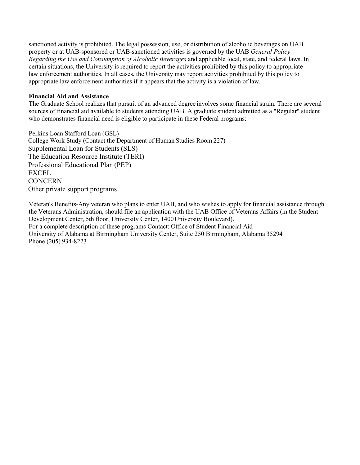sanctioned activity is prohibited. The legal possession, use, or distribution of alcoholic beverages on UAB property or at UAB-sponsored or UAB-sanctioned activities is governed by the UAB *General Policy Regarding the Use and Consumption of Alcoholic Beverages* and applicable local, state, and federal laws. In certain situations, the University is required to report the activities prohibited by this policy to appropriate law enforcement authorities. In all cases, the University may report activities prohibited by this policy to appropriate law enforcement authorities if it appears that the activity is a violation of law.

#### **Financial Aid and Assistance**

The Graduate School realizes that pursuit of an advanced degree involves some financial strain. There are several sources of financial aid available to students attending UAB. A graduate student admitted as a "Regular" student who demonstrates financial need is eligible to participate in these Federal programs:

Perkins Loan Stafford Loan (GSL) College Work Study (Contact the Department of Human Studies Room 227) Supplemental Loan for Students (SLS) The Education Resource Institute (TERI) Professional Educational Plan (PEP) EXCEL **CONCERN** Other private support programs

Veteran's Benefits-Any veteran who plans to enter UAB, and who wishes to apply for financial assistance through the Veterans Administration, should file an application with the UAB Office of Veterans Affairs (in the Student Development Center, 5th floor, University Center, 1400University Boulevard). For a complete description of these programs Contact: Office of Student Financial Aid University of Alabama at Birmingham University Center, Suite 250 Birmingham, Alabama 35294 Phone (205) 934-8223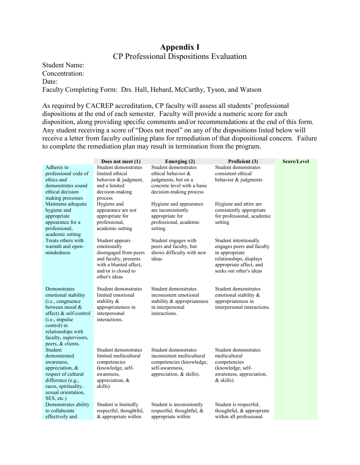# **Appendix I** CP Professional Dispositions Evaluation

Student Name: Concentration: Date: Faculty Completing Form: Drs. Hall, Hebard, McCarthy, Tyson, and Watson

As required by CACREP accreditation, CP faculty will assess all students' professional dispositions at the end of each semester. Faculty will provide a numeric score for each disposition, along providing specific comments and/or recommendations at the end of this form. Any student receiving a score of "Does not meet" on any of the dispositions listed below will receive a letter from faculty outlining plans for remediation of that dispositional concern. Failure to complete the remediation plan may result in termination from the program.

|                                                                                                                                                                                                           | Does not meet $(1)$                                                                                                                                | Emerging (2)                                                                                                                  | Proficient (3)                                                                                                                                        | Score/Level |
|-----------------------------------------------------------------------------------------------------------------------------------------------------------------------------------------------------------|----------------------------------------------------------------------------------------------------------------------------------------------------|-------------------------------------------------------------------------------------------------------------------------------|-------------------------------------------------------------------------------------------------------------------------------------------------------|-------------|
| Adheres to<br>professional code of<br>ethics and<br>demonstrates sound<br>ethical decision<br>making processes                                                                                            | Student demonstrates<br>limited ethical<br>behavior & judgment,<br>and a limited<br>decision-making<br>process                                     | Student demonstrates<br>ethical behavior &<br>judgments, but on a<br>concrete level with a basic<br>decision-making process   | Student demonstrates<br>consistent ethical<br>behavior & judgments                                                                                    |             |
| Maintains adequate<br>hygiene and<br>appropriate<br>appearance for a<br>professional,<br>academic setting                                                                                                 | Hygiene and<br>appearance are not<br>appropriate for<br>professional,<br>academic setting                                                          | Hygiene and appearance<br>are inconsistently<br>appropriate for<br>professional, academic<br>setting                          | Hygiene and attire are<br>consistently appropriate<br>for professional, academic<br>setting                                                           |             |
| Treats others with<br>warmth and open-<br>mindedness                                                                                                                                                      | Student appears<br>emotionally<br>disengaged from peers<br>and faculty, presents<br>with a blunted affect,<br>and/or is closed to<br>other's ideas | Student engages with<br>peers and faculty, but<br>shows difficulty with new<br>ideas                                          | Student intentionally<br>engages peers and faculty<br>in appropriate<br>relationships, displays<br>appropriate affect, and<br>seeks out other's ideas |             |
| Demonstrates<br>emotional stability<br>(i.e., congruence<br>between mood &<br>affect) & self-control<br>(i.e., impulse<br>control) in<br>relationships with<br>faculty, supervisors,<br>peers, & clients. | Student demonstrates<br>limited emotional<br>stability &<br>appropriateness in<br>interpersonal<br>interactions.                                   | Student demonstrates<br>inconsistent emotional<br>stability & appropriateness<br>in interpersonal<br>interactions.            | Student demonstrates<br>emotional stability &<br>appropriateness in<br>interpersonal interactions.                                                    |             |
| Student<br>demonstrated<br>awareness,<br>appreciation, &<br>respect of cultural<br>difference (e.g.,<br>races, spirituality,<br>sexual orientation,<br>SES, etc.)                                         | Student demonstrates<br>limited multicultural<br>competencies<br>(knowledge, self-<br>awareness,<br>appreciation, &<br>skills).                    | Student demonstrates<br>inconsistent multicultural<br>competencies (knowledge,<br>self-awareness,<br>appreciation, & skills). | Student demonstrates<br>multicultural<br>competencies<br>(knowledge, self-<br>awareness, appreciation,<br>& skills).                                  |             |
| Demonstrates ability<br>to collaborate<br>effectively and                                                                                                                                                 | Student is limitedly<br>respectful, thoughtful,<br>& appropriate within                                                                            | Student is inconsistently<br>respectful, thoughtful, &<br>appropriate within                                                  | Student is respectful,<br>thoughtful, & appropriate<br>within all professional                                                                        |             |